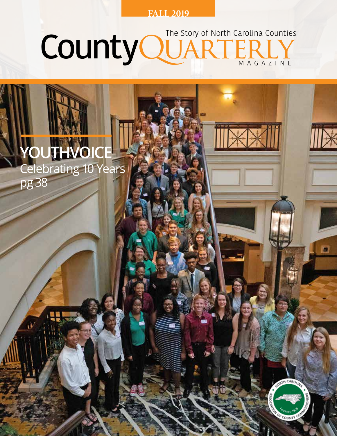#### **FALL 2019**

#### CountyQUARTE MAGAZINE The Story of North Carolina Counties

TH CARO

OF COUNT

## **YOUTHVOICE** Celebrating 10 Years pg 38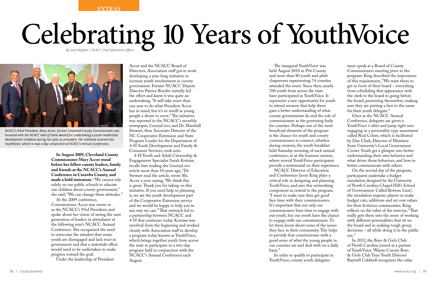**EXTRAS**

In order to qualify to participate in Youth Voice, county youth delegates

The inaugural YouthVoice was held August 2010 in Pitt County and more than 80 youth and adult chaperones representing 74 counties attended the event. Since then, nearly 700 youth from across the state have participated in YouthVoice. It represents a rare opportunity for youth to attend sessions that help them gain a better understanding of what county governments do and the role of commissioners as the governing body for counties. Perhaps one of the most beneficial elements of the program is the chance for youth and county commissioners to connect, whether during sessions, the youth breakfast held Saturday morning of each annual conference, or at the business session, where several YouthVoice participants provide a testimonial on their experience. NCACC Director of Education and Conferences Jason King plays a critical role in designing and planning Youth Voice, and sees this networking component as central to the program, "I want to make sure they get good face time with their commissioners. It's important that not only our commissioners have time to engage with our youth, but our youth have the chance to engage with our commissioners. To let them know about some of the issues they face in their community. This helps to provide that commissioner with a good sense of what the young people in our counties see and deal with on a daily basis."

must speak at a Board of County Commissioners meeting prior to the program. King described the importance of this requirement, "We want them to get in front of their board – everything from scheduling that appearance with the clerk to the board to going before the board, presenting themselves, making sure they are putting a face to the name for their youth delegate."

Once at the NCACC Annual Conference, delegates are given a YouthVoice t-shirt and jump right into engaging in a personality type assessment called Real Colors, which is facilitated by Dan Clark, Director of Montana State University's Local Government Center. Youth get a glimpse into better understanding their own behavior and what drives those behaviors, and how to better communicate with others.

On the second day of the program, participants undertake a budget simulation designed by the University of North Carolina Chapel Hill's School of Government. Called Bottom Line!, the simulation requires players to make budget cuts, additions and set core values for their fictitious communities. King reflects on the value of the exercise, "That really gets them into the sense of working with different personalities that sit on the board and in making tough group decisions – all while doing it in the public eye."

In 2012, the Boys & Girls Club of North Carolina joined as a partner of YouthVoice. Wayne County Boys & Girls Club Teen Youth Director Raytrell Caldwell recognizes the value

**In August 2009, Cleveland County Commissioner Mary Accor stood before her fellow county leaders, family and friends at the NCACC's Annual Conference in Catawba County, and made a bold statement.** "We cannot rely solely on our public schools to educate our children about county government," she said, "We can change these attitudes."

At the 2009 conference, Commissioner Accor was sworn in as the NCACC's 93rd President, and spoke about her vision of seeing the next generation of leaders in attendance at the following year's NCACC Annual Conference. She recognized the need to overcome the mindset that many youth are disengaged and lack trust in government and that a statewide effort would need to be undertaken to make progress toward the goal.

Under the leadership of President

Accor and the NCACC Board of Directors, Association staff got to work developing a year-long initiative to increase youth involvement in county government. Former NCACC Deputy Director Patrice Roesler initially led the effort and knew it was quite an undertaking, "It will take more than one year to do what President Accor has in mind, but it's to instill in young people a desire to serve." The initiative was reported in the NCACC's monthly newspaper, *CountyLines*, and Dr. Marshall Stewart, then Associate Director of the NC Cooperative Extension and State Program Leader for the Department of 4-H Youth Development and Family & Consumer Services, took note.

4-H Youth and Adult Citizenship & Engagement Specialist Sarah Kotzian recalls him reading the *CountyLines* article more than 10 years ago, "Dr. Stewart read the article, wrote Ms. Accor a note saying, 'We think this is great. Thank you for taking on this initiative. If you need help in planning it, we are the youth development part of the Cooperative Extension service and we would be happy to help you in any way we can.'" That outreach led to a partnership between NCACC and 4-H that continues today. Kotzian was involved from the beginning and worked closely with Association staff to develop a program today known as YouthVoice, which brings together youth from across the state to participate in a two-day program held in conjunction with the NCACC's Annual Conference each August.

# Celebrating 10 Years of YouthVoice  *By Sara Mogilski | NCACC Chief Operations Officer*



*NCACC's 93rd President, Mary Accor, former Cleveland County Commissioner was honored with the NCACC Hall of Fame Award for undertaking a youth leadership development initiative during her year as president. Her initiative evolved into YouthVoice, which is now a key component of NCACC's Annual Conference.*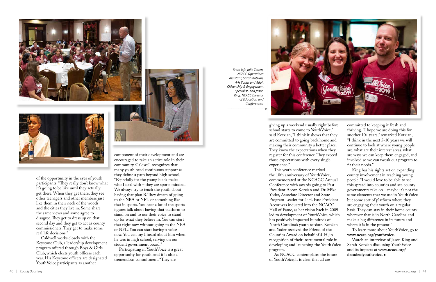



of the opportunity in the eyes of youth participants, "They really don't know what it's going to be like until they actually get there. When they get there, they see other teenagers and other members just like them in their neck of the woods and the cities they live in. Some share the same views and some agree to disagree. They get to dress up on that second day and they get to act as county commissioners. They get to make some real life decisions."

Caldwell works closely with the Keystone Club, a leadership development program offered through Boys & Girls Club, which elects youth officers each year. His Keystone officers are designated YouthVoice participants as another



now. You can say I heard about him when he was in high school, serving on our student government board."

Participating in YouthVoice is a great opportunity for youth, and it is also a tremendous commitment. "They are

giving up a weekend usually right before school starts to come to YouthVoice," said Kotzian, "I think it shows that they are committed to going back home and making their community a better place. They know the expectations when they register for this conference. They exceed those expectations with every single experience."

This year's conference marked the 10th anniversary of YouthVoice, commemorated at the NCACC Annual Conference with awards going to Past President Accor, Kotzian and Dr. Mike Yoder, Associate Director and State Program Leader for 4-H. Past President Accor was inducted into the NCACC Hall of Fame, as her vision back in 2009 led to development of YouthVoice, which has positively impacted hundreds of North Carolina's youth to-date. Kotzian and Yoder received the Friend of the Counties Award on behalf of 4-H, in recognition of their instrumental role in developing and launching the YouthVoice program.

As NCACC contemplates the future of YouthVoice, it is clear that all are

committed to keeping it fresh and thriving. "I hope we are doing this for another 10+ years," remarked Kotzian, "I think in the next 5-10 years we will continue to look at where young people are, what are their interest areas, what are ways we can keep them engaged, and involved so we can tweak our program to fit their needs."

King has his sights set on expanding county involvement in reaching young people, "I would love to be able to see this spread into counties and see county governments take on – maybe it's not the same elements that we use in YouthVoice but some sort of platform where they are engaging their youth on a regular basis. They can stay in their home county wherever that is in North Carolina and make a big difference in its future and where it is in the present."

To learn more about YouthVoice, go to **www.ncacc.org/youthvoice**.

Watch an interview of Jason King and Sarah Kotzian discussing YouthVoice and its impacts at **www.ncacc.org/ decadeofyouthvoice.** <sup>n</sup>

*From left: Julie Totten, NCACC Operations Assistant, Sarah Kotzian, 4-H Youth and Adult Citizenship & Engagement Specialist, and Jason King, NCACC Director of Education and Conferences.*